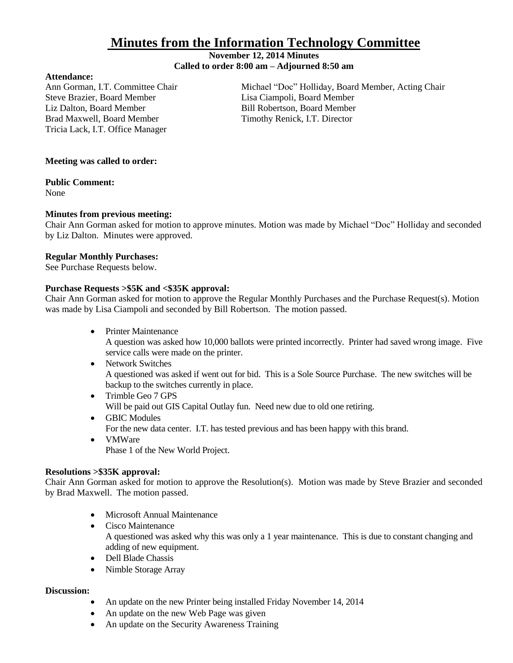# **Minutes from the Information Technology Committee**

### **November 12, 2014 Minutes Called to order 8:00 am – Adjourned 8:50 am**

#### **Attendance:**

Steve Brazier, Board Member Lisa Ciampoli, Board Member Liz Dalton, Board Member **Bill Robertson, Board Member** Brad Maxwell, Board Member Timothy Renick, I.T. Director Tricia Lack, I.T. Office Manager

Ann Gorman, I.T. Committee Chair Michael "Doc" Holliday, Board Member, Acting Chair

## **Meeting was called to order:**

## **Public Comment:**

None

# **Minutes from previous meeting:**

Chair Ann Gorman asked for motion to approve minutes. Motion was made by Michael "Doc" Holliday and seconded by Liz Dalton. Minutes were approved.

#### **Regular Monthly Purchases:**

See Purchase Requests below.

## **Purchase Requests >\$5K and <\$35K approval:**

Chair Ann Gorman asked for motion to approve the Regular Monthly Purchases and the Purchase Request(s). Motion was made by Lisa Ciampoli and seconded by Bill Robertson. The motion passed.

• Printer Maintenance

A question was asked how 10,000 ballots were printed incorrectly. Printer had saved wrong image. Five service calls were made on the printer.

- Network Switches A questioned was asked if went out for bid. This is a Sole Source Purchase. The new switches will be backup to the switches currently in place.
- Trimble Geo 7 GPS Will be paid out GIS Capital Outlay fun. Need new due to old one retiring.
- GBIC Modules For the new data center. I.T. has tested previous and has been happy with this brand.
- VMWare Phase 1 of the New World Project.

# **Resolutions >\$35K approval:**

Chair Ann Gorman asked for motion to approve the Resolution(s). Motion was made by Steve Brazier and seconded by Brad Maxwell. The motion passed.

- Microsoft Annual Maintenance
- Cisco Maintenance A questioned was asked why this was only a 1 year maintenance. This is due to constant changing and adding of new equipment.
- Dell Blade Chassis
- Nimble Storage Array

#### **Discussion:**

- An update on the new Printer being installed Friday November 14, 2014
- An update on the new Web Page was given
- An update on the Security Awareness Training